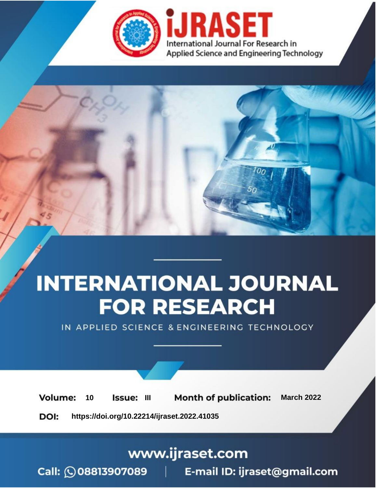

# **INTERNATIONAL JOURNAL FOR RESEARCH**

IN APPLIED SCIENCE & ENGINEERING TECHNOLOGY

**Month of publication: Volume:** 10 **Issue: III March 2022** DOI: https://doi.org/10.22214/ijraset.2022.41035

www.ijraset.com

Call: 008813907089 | E-mail ID: ijraset@gmail.com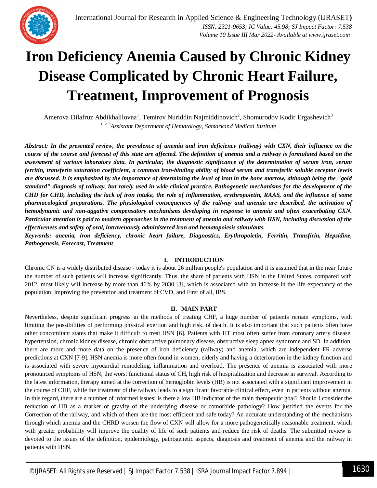

## **Iron Deficiency Anemia Caused by Chronic Kidney Disease Complicated by Chronic Heart Failure, Treatment, Improvement of Prognosis**

Amerova Dilafruz Abdikhalilovna<sup>1</sup>, Temirov Nuriddin Najmiddinovich<sup>2</sup>, Shomurodov Kodir Ergashevich<sup>3</sup> *1, 2, 3Assistant Department of Hematology, Samarkand Medical Institute*

*Abstract: In the presented review, the prevalence of anemia and iron deficiency (railway) with CXN, their influence on the course of the course and forecast of this state are affected. The definition of anemia and a railway is formulated based on the assessment of various laboratory data. In particular, the diagnostic significance of the determination of serum iron, serum ferritin, transferin saturation coefficient, a common iron-binding ability of blood serum and transferlic soluble receptor levels are discussed. It is emphasized by the importance of determining the level of iron in the bone marrow, although being the "gold standard" diagnosis of railway, but rarely used in wide clinical practice. Pathogenetic mechanisms for the development of the CHD for CHD, including the lack of iron intake, the role of inflammation, erythropoietin, RAAS, and the influence of some pharmacological preparations. The physiological consequences of the railway and anemia are described, the activation of hemodynamic and non-aggative compensatory mechanisms developing in response to anemia and often exacerbating CXN. Particular attention is paid to modern approaches in the treatment of anemia and railway with HSN, including discussion of the effectiveness and safety of oral, intravenously administered iron and hematopoiesis stimulants.*

*Keywords: anemia, iron deficiency, chronic heart failure, Diagnostics, Erythropoietin, Ferritin, Transfirin, Hepsidine, Pathogenesis, Forecast, Treatment*

### **I. INTRODUCTION**

Chronic CN is a widely distributed disease - today it is about 26 million people's population and it is assumed that in the near future the number of such patients will increase significantly. Thus, the share of patients with HSN in the United States, compared with 2012, most likely will increase by more than 46% by 2030 [3], which is associated with an increase in the life expectancy of the population, improving the prevention and treatment of CVD, and First of all, IBS.

### **II. MAIN PART**

Nevertheless, despite significant progress in the methods of treating CHF, a huge number of patients remain symptoms, with limiting the possibilities of performing physical exertion and high risk. of death. It is also important that such patients often have other concomitant states that make it difficult to treat HSN [6]. Patients with HT most often suffer from coronary artery disease, hypertension, chronic kidney disease, chronic obstructive pulmonary disease, obstructive sleep apnea syndrome and SD. In addition, there are more and more data on the presence of iron deficiency (railway) and anemia, which are independent FR adverse predictions at CXN [7-9]. HSN anemia is more often found in women, elderly and having a deterioration in the kidney function and is associated with severe myocardial remodeling, inflammation and overload. The presence of anemia is associated with more pronounced symptoms of HSN, the worst functional status of CH, high risk of hospitalization and decrease in survival. According to the latest information, therapy aimed at the correction of hemoglobin levels (HB) is not associated with a significant improvement in the course of CHF, while the treatment of the railway leads to a significant favorable clinical effect, even in patients without anemia. In this regard, there are a number of informed issues: is there a low HB indicator of the main therapeutic goal? Should I consider the reduction of HB as a marker of gravity of the underlying disease or comorbide pathology? How justified the events for the Correction of the railway, and which of them are the most efficient and safe today? An accurate understanding of the mechanisms through which anemia and the CHRD worsen the flow of CXN will allow for a more pathogenetically reasonable treatment, which with greater probability will improve the quality of life of such patients and reduce the risk of deaths. The submitted review is devoted to the issues of the definition, epidemiology, pathogenetic aspects, diagnosis and treatment of anemia and the railway in patients with HSN.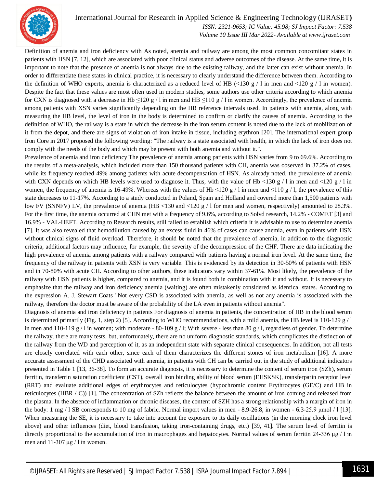

International Journal for Research in Applied Science & Engineering Technology (IJRASET**)**

 *ISSN: 2321-9653; IC Value: 45.98; SJ Impact Factor: 7.538 Volume 10 Issue III Mar 2022- Available at www.ijraset.com*

Definition of anemia and iron deficiency with As noted, anemia and railway are among the most common concomitant states in patients with HSN [7, 12], which are associated with poor clinical status and adverse outcomes of the disease. At the same time, it is important to note that the presence of anemia is not always due to the existing railway, and the latter can exist without anemia. In order to differentiate these states in clinical practice, it is necessary to clearly understand the difference between them. According to the definition of WHO experts, anemia is characterized as a reduced level of HB (<130 g / l in men and <120 g / l in women). Despite the fact that these values are most often used in modern studies, some authors use other criteria according to which anemia for CXN is diagnosed with a decrease in Hb  $\leq$ 120 g / l in men and HB  $\leq$ 110 g / l in women. Accordingly, the prevalence of anemia among patients with XSN varies significantly depending on the HB reference intervals used. In patients with anemia, along with measuring the HB level, the level of iron in the body is determined to confirm or clarify the causes of anemia. According to the definition of WHO, the railway is a state in which the decrease in the iron serum content is noted due to the lack of mobilization of it from the depot, and there are signs of violation of iron intake in tissue, including erythron [20]. The international expert group Iron Core in 2017 proposed the following wording: "The railway is a state associated with health, in which the lack of iron does not comply with the needs of the body and which may be present with both anemia and without it.".

Prevalence of anemia and iron deficiency The prevalence of anemia among patients with HSN varies from 9 to 69.6%. According to the results of a meta-analysis, which included more than 150 thousand patients with CH, anemia was observed in 37.2% of cases, while its frequency reached 49% among patients with acute decompensation of HSN. As already noted, the prevalence of anemia with CXN depends on which HB levels were used to diagnose it. Thus, with the value of Hb <130 g / l in men and <120 g / l in women, the frequency of anemia is 16-49%. Whereas with the values of Hb  $\leq$ 120 g / l in men and  $\leq$ 110 g / l, the prevalence of this state decreases to 11-17%. According to a study conducted in Poland, Spain and Holland and covered more than 1,500 patients with low FV (SNNFV) LV, the prevalence of anemia (HB <130 and <120 g / 1 for men and women, respectively) amounted to 28.3%. For the first time, the anemia occurred at CHN met with a frequency of 9.6%, according to Solvd research, 14.2% - COMET [3] and 16.9% - VAL-HEFT. According to Research results, still failed to establish which criteria it is advisable to use to determine anemia [7]. It was also revealed that hemodilution caused by an excess fluid in 46% of cases can cause anemia, even in patients with HSN without clinical signs of fluid overload. Therefore, it should be noted that the prevalence of anemia, in addition to the diagnostic criteria, additional factors may influence, for example, the severity of the decompression of the CHF. There are data indicating the high prevalence of anemia among patients with a railway compared with patients having a normal iron level. At the same time, the frequency of the railway in patients with XSN is very variable. This is evidenced by its detection in 30-50% of patients with HSN and in 70-80% with acute CH. According to other authors, these indicators vary within 37-61%. Most likely, the prevalence of the railway with HSN patients is higher, compared to anemia, and it is found both in combination with it and without. It is necessary to emphasize that the railway and iron deficiency anemia (waiting) are often mistakenly considered as identical states. According to the expression A. J. Stewart Coats "Not every CSD is associated with anemia, as well as not any anemia is associated with the railway, therefore the doctor must be aware of the probability of the LA even in patients without anemia".

Diagnosis of anemia and iron deficiency in patients For diagnosis of anemia in patients, the concentration of HB in the blood serum is determined primarily (Fig. 1, step 2) [5]. According to WHO recommendations, with a mild anemia, the HB level is 110-129 g / l in men and 110-119 g / l in women; with moderate - 80-109 g / l; With severe - less than 80 g / l, regardless of gender. To determine the railway, there are many tests, but, unfortunately, there are no uniform diagnostic standards, which complicates the distinction of the railway from the WD and perception of it, as an independent state with separate clinical consequences. In addition, not all tests are closely correlated with each other, since each of them characterizes the different stones of iron metabolism [16]. A more accurate assessment of the CHD associated with anemia, in patients with CH can be carried out in the study of additional indicators presented in Table 1 [13, 36-38]. To form an accurate diagnosis, it is necessary to determine the content of serum iron (SZh), serum ferritin, transferrin saturation coefficient (CST), overall iron binding ability of blood serum (EHSKSK), transferparin receptor level (RRT) and evaluate additional edges of erythrocytes and reticulocytes (hypochromic content Erythrocytes (GE/C) and HB in reticulocytes (HBR  $/$  C)) [1]. The concentration of SZh reflects the balance between the amount of iron coming and released from the plasma. In the absence of inflammation or chronic diseases, the content of SZH has a strong relationship with a margin of iron in the body: 1 mg / l SB corresponds to 10 mg of fabric. Normal import values in men - 8.9-26.8, in women - 6.3-25.9 μmol / l [13]. When measuring the SE, it is necessary to take into account the exposure to its daily oscillations (in the morning clock iron level above) and other influences (diet, blood transfusion, taking iron-containing drugs, etc.) [39, 41]. The serum level of ferritin is directly proportional to the accumulation of iron in macrophages and hepatocytes. Normal values of serum ferritin 24-336 μg / l in men and  $11-307 \mu g / 1$  in women.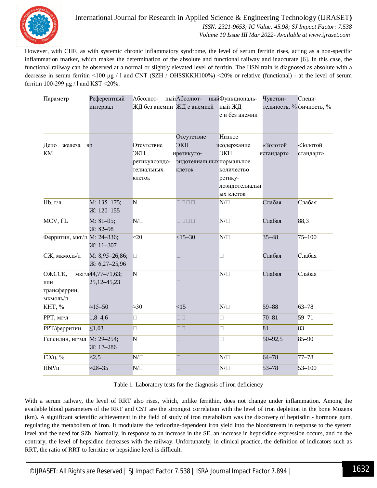

International Journal for Research in Applied Science & Engineering Technology (IJRASET**)**  *ISSN: 2321-9653; IC Value: 45.98; SJ Impact Factor: 7.538 Volume 10 Issue III Mar 2022- Available at www.ijraset.com*

However, with CHF, as with systemic chronic inflammatory syndrome, the level of serum ferritin rises, acting as a non-specific inflammation marker, which makes the determination of the absolute and functional railway and inaccurate [6]. In this case, the functional railway can be observed at a normal or slightly elevated level of ferritin. The HSN train is diagnosed as absolute with a decrease in serum ferritin <100 μg / l and CNT (SZH / OHSSKKH100%) <20% or relative (functional) - at the level of serum ferritin 100-299  $\mu$ g / l and KST <20%.

| Параметр                   | Референтный       | Абсолют-                   | ныйАбсолют- ныйФункциональ-               |                | Чувстви-    | Специ-                   |
|----------------------------|-------------------|----------------------------|-------------------------------------------|----------------|-------------|--------------------------|
|                            | интервал          | ЖД без анемии ЖД с анемией |                                           | ный ЖД         |             | тельность, % фичность, % |
|                            |                   |                            |                                           | с и без анемии |             |                          |
|                            |                   |                            |                                           |                |             |                          |
|                            |                   |                            | Отсутствие                                | Низкое         |             |                          |
| Депо<br>железа             | Bn                | Отсутствие                 | ЭКП                                       | исодержание    | «Золотой    | «Золотой                 |
| <b>KM</b>                  |                   | ЭКП                        | иретикуло-                                | ЭКП            | истандарт»  | стандарт»                |
|                            |                   | ретикулоэндо-              | эндотелиальных нормальное                 |                |             |                          |
|                            |                   | телиальных                 | клеток                                    | количество     |             |                          |
|                            |                   | клеток                     |                                           | ретику-        |             |                          |
|                            |                   |                            |                                           | лоэндотелиальн |             |                          |
|                            |                   |                            |                                           | ых клеток      |             |                          |
| $Hb, r/\pi$                | $M: 135 - 175;$   | $\overline{N}$             |                                           | $N/\square$    | Слабая      | Слабая                   |
|                            | Ж: 120-155        |                            |                                           |                |             |                          |
| MCV, fL                    | $M: 81-95;$       | $N/\Box$                   | $\Box \Box \Box \Box$                     | $N/\Box$       | Слабая      | 88,3                     |
|                            | $X: 82 - 98$      |                            |                                           |                |             |                          |
| Ферритин, мкг/л М: 24-336; |                   | $\approx 20$               | $<15-30$                                  | $N/\Box$       | $35 - 48$   | $75 - 100$               |
|                            | $X: 11 - 307$     |                            |                                           |                |             |                          |
| СЖ, мкмоль/л               | $M: 8,95-26,86;$  | $\Box$                     | П                                         | $\Box$         | Слабая      | Слабая                   |
|                            | $X: 6,27-25,96$   |                            |                                           |                |             |                          |
| ОЖССК,                     | мкг/л44,77-71,63; | N                          |                                           | $N/\Box$       | Слабая      | Слабая                   |
| или                        | 25, 12 - 45, 23   |                            | $\Box$                                    |                |             |                          |
| трансферрин,               |                   |                            |                                           |                |             |                          |
| мкмоль/л                   |                   |                            |                                           |                |             |                          |
| KHT, %                     | $\approx$ 15-50   | $\approx 30$               | <15                                       | $N/\Box$       | $59 - 88$   | $63 - 78$                |
| РРТ, мг/л                  | $1,8-4,6$         | $\Box$                     | $\overline{\square}$ $\overline{\square}$ | $\Box$         | $70 - 81$   | $59 - 71$                |
| РРТ/ферритин               | $\leq 1,03$       | $\Box$                     | $\square$<br>$\square$                    | $\Box$         | 81          | 83                       |
| Гепсидин, нг/мл М: 29-254; |                   | N                          | $\Box$                                    | $\Box$         | $50 - 92,5$ | 85-90                    |
|                            | Ж: 17-286         |                            |                                           |                |             |                          |
| ГЭ/ц, %                    | <2,5              | $N/\Box$                   | $\Box$                                    | $N/\square$    | $64 - 78$   | $77 - 78$                |
| $HbP/\mu$                  | $\approx$ 28-35   | $N/\Box$                   | $\Box$                                    | $N/\Box$       | $53 - 78$   | $53 - 100$               |

Table 1. Laboratory tests for the diagnosis of iron deficiency

With a serum railway, the level of RRT also rises, which, unlike ferrithin, does not change under inflammation. Among the available blood parameters of the RRT and CST are the strongest correlation with the level of iron depletion in the bone Mozens (km). A significant scientific achievement in the field of study of iron metabolism was the discovery of heptisdin - hormone gum, regulating the metabolism of iron. It modulates the ferluorine-dependent iron yield into the bloodstream in response to the system level and the need for SZh. Normally, in response to an increase in the SE, an increase in heptisidine expression occurs, and on the contrary, the level of hepsidine decreases with the railway. Unfortunately, in clinical practice, the definition of indicators such as RRT, the ratio of RRT to ferritine or hepsidine level is difficult.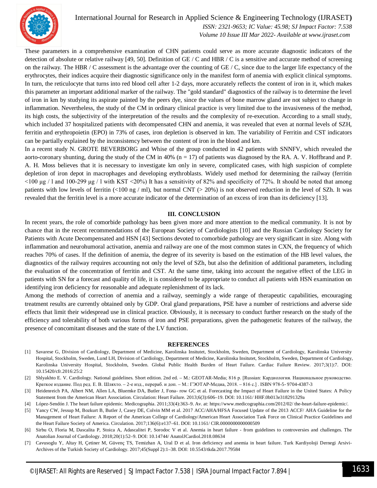

## International Journal for Research in Applied Science & Engineering Technology (IJRASET**)**

 *ISSN: 2321-9653; IC Value: 45.98; SJ Impact Factor: 7.538 Volume 10 Issue III Mar 2022- Available at www.ijraset.com*

These parameters in a comprehensive examination of CHN patients could serve as more accurate diagnostic indicators of the detection of absolute or relative railway [49, 50]. Definition of GE / C and HBR / C is a sensitive and accurate method of screening on the railway. The HBR / C assessment is the advantage over the counting of GE / C, since due to the larger life expectancy of the erythrocytes, their indices acquire their diagnostic significance only in the manifest form of anemia with explicit clinical symptoms. In turn, the reticulocyte that turns into red blood cell after 1-2 days, more accurately reflects the content of iron in it, which makes this parameter an important additional marker of the railway. The "gold standard" diagnostics of the railway is to determine the level of iron in km by studying its aspirate painted by the peers dye, since the values of bone marrow gland are not subject to change in inflammation. Nevertheless, the study of the CM in ordinary clinical practice is very limited due to the invasiveness of the method, its high costs, the subjectivity of the interpretation of the results and the complexity of re-execution. According to a small study, which included 37 hospitalized patients with decompensated CHN and anemia, it was revealed that even at normal levels of SZH, ferritin and erythropoietin (EPO) in 73% of cases, iron depletion is observed in km. The variability of Ferritin and CST indicators can be partially explained by the inconsistency between the content of iron in the blood and km.

In a recent study N. GROTE BEVERBORG and Whise of the group conducted in 42 patients with SNNFV, which revealed the aorto-coronary shunting, during the study of the CM in 40%  $(n = 17)$  of patients was diagnosed by the RA. A. V. Hoffbrand and P. A. H. Moss believes that it is necessary to investigate km only in severe, complicated cases, with high suspicion of complete depletion of iron depot in macrophages and developing erythroblasts. Widely used method for determining the railway (ferritin  $\leq$ 100 μg / l and 100-299 μg / l with KST  $\leq$ 20%) It has a sensitivity of 82% and specificity of 72%. It should be noted that among patients with low levels of ferritin (<100 ng / ml), but normal CNT (> 20%) is not observed reduction in the level of SZh. It was revealed that the ferritin level is a more accurate indicator of the determination of an excess of iron than its deficiency [13].

#### **III. CONCLUSION**

In recent years, the role of comorbide pathology has been given more and more attention to the medical community. It is not by chance that in the recent recommendations of the European Society of Cardiologists [10] and the Russian Cardiology Society for Patients with Acute Decompensated and HSN [43] Sections devoted to comorbide pathology are very significant in size. Along with inflammation and neurohumoral activation, anemia and railway are one of the most common states in CXN, the frequency of which reaches 70% of cases. If the definition of anemia, the degree of its severity is based on the estimation of the HB level values, the diagnostics of the railway requires accounting not only the level of SZh, but also the definition of additional parameters, including the evaluation of the concentration of ferritin and CST. At the same time, taking into account the negative effect of the LEG in patients with SN for a forecast and quality of life, it is considered to be appropriate to conduct all patients with HSN examination on identifying iron deficiency for reasonable and adequate replenishment of its lack.

Among the methods of correction of anemia and a railway, seemingly a wide range of therapeutic capabilities, encouraging treatment results are currently obtained only by GDP. Oral gland preparations, PSE have a number of restrictions and adverse side effects that limit their widespread use in clinical practice. Obviously, it is necessary to conduct further research on the study of the efficiency and tolerability of both various forms of iron and PSE preparations, given the pathogenetic features of the railway, the presence of concomitant diseases and the state of the LV function.

#### **REFERENCES**

- [1] Savarese G, Division of Cardiology, Department of Medicine, Karolinska Insitutet, Stockholm, Sweden, Department of Cardiology, Karolinska University Hospital, Stockholm, Sweden, Lund LH, Division of Cardiology, Department of Medicine, Karolinska Insitutet, Stockholm, Sweden, Department of Cardiology, Karolinska University Hospital, Stockholm, Sweden. Global Public Health Burden of Heart Failure. Cardiac Failure Review. 2017;3(1):7. DOI: 10.15420/cfr.2016:25:2
- [2] Shlyakhto E. V. Cardiology. National guidelines. Short edition. 2nd ed. M.: GEOTAR-Media; 816 p. [Russian: Кардиология. Национальное руководство. Краткое издание. Под ред. Е. В. Шляхто. – 2-е изд., перераб. и доп. – М.: ГЭОТАР-Медиа, 2018. – 816 с.] . ISBN 978-5- 9704-4387-3
- [3] Heidenreich PA, Albert NM, Allen LA, Bluemke DA, Butler J, Fona- row GC et al. Forecasting the Impact of Heart Failure in the United States: A Policy Statement from the American Heart Association. Circulation: Heart Failure. 2013;6(3):606–19. DOI: 10.1161/ HHF.0b013e318291329a
- [4] López-Sendón J. The heart failure epidemic. Medicographia. 2011;33(4):363–9. Av. at: https://www.medicographia.com/2012/02/ the-heart-failure-epidemic/.
- [5] Yancy CW, Jessup M, Bozkurt B, Butler J, Casey DE, Colvin MM et al. 2017 ACC/AHA/HFSA Focused Update of the 2013 ACCF/ AHA Guideline for the Management of Heart Failure: A Report of the American College of Cardiology/American Heart Association Task Force on Clinical Practice Guidelines and the Heart Failure Society of America. Circulation. 2017;136(6):e137–61. DOI: 10.1161/ CIR.0000000000000509
- [6] Sirbu O, Floria M, Dascalita P, Stoica A, Adascalitei P, Sorodoc V et al. Anemia in heart failure from guidelines to controversies and challenges. The Anatolian Journal of Cardiology. 2018;20(1):52–9. DOI: 10.14744/ AnatolJCardiol.2018.08634
- [7] Cavusoglu Y, Altay H, Çetiner M, Güvenç TS, Temizhan A, Ural D et al. Iron deficiency and anemia in heart failure. Turk Kardiyoloji Dernegi Arsivi-Archives of the Turkish Society of Cardiology. 2017;45(Suppl 2):1–38. DOI: 10.5543/tkda.2017.79584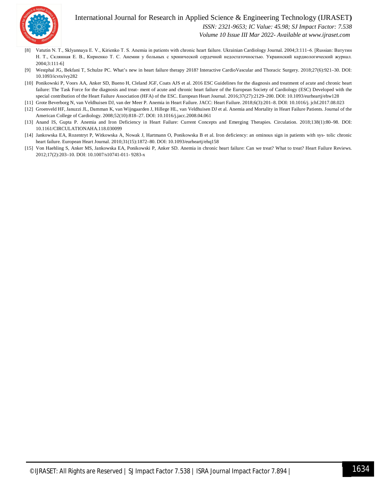

## International Journal for Research in Applied Science & Engineering Technology (IJRASET**)**

 *ISSN: 2321-9653; IC Value: 45.98; SJ Impact Factor: 7.538*

 *Volume 10 Issue III Mar 2022- Available at www.ijraset.com*

- [8] Vatutin N. T., Sklyannaya E. V., Kirienko Т. S. Anemia in patients with chronic heart failure. Ukrainian Cardiology Journal. 2004;3:111–6. [Russian: Ватутин Н. Т., Склянная Е. В., Кириенко Т. С. Анемии у больных с хронической сердечной недостаточностью. Украинский кардиологический журнал. 2004;3:111-6]
- [9] Westphal JG, Bekfani T, Schulze PC. What's new in heart failure therapy 2018? Interactive CardioVascular and Thoracic Surgery. 2018;27(6):921–30. DOI: 10.1093/icvts/ivy282
- [10] Ponikowski P, Voors AA, Anker SD, Bueno H, Cleland JGF, Coats AJS et al. 2016 ESC Guidelines for the diagnosis and treatment of acute and chronic heart failure: The Task Force for the diagnosis and treat- ment of acute and chronic heart failure of the European Society of Cardiology (ESC) Developed with the special contribution of the Heart Failure Association (HFA) of the ESC. European Heart Journal. 2016;37(27):2129–200. DOI: 10.1093/eurheartj/ehw128
- [11] Grote Beverborg N, van Veldhuisen DJ, van der Meer P. Anemia in Heart Failure. JACC: Heart Failure. 2018;6(3):201–8. DOI: 10.1016/j. jchf.2017.08.023
- [12] Groenveld HF, Januzzi JL, Damman K, van Wijngaarden J, Hillege HL, van Veldhuisen DJ et al. Anemia and Mortality in Heart Failure Patients. Journal of the American College of Cardiology. 2008;52(10):818–27. DOI: 10.1016/j.jacc.2008.04.061
- [13] Anand IS, Gupta P. Anemia and Iron Deficiency in Heart Failure: Current Concepts and Emerging Therapies. Circulation. 2018;138(1):80–98. DOI: 10.1161/CIRCULATIONAHA.118.030099
- [14] Jankowska EA, Rozentryt P, Witkowska A, Nowak J, Hartmann O, Ponikowska B et al. Iron deficiency: an ominous sign in patients with sys- tolic chronic heart failure. European Heart Journal. 2010;31(15):1872–80. DOI: 10.1093/eurheartj/ehq158
- [15] Von Haehling S, Anker MS, Jankowska EA, Ponikowski P, Anker SD. Anemia in chronic heart failure: Can we treat? What to treat? Heart Failure Reviews. 2012;17(2):203–10. DOI: 10.1007/s10741-011- 9283-x